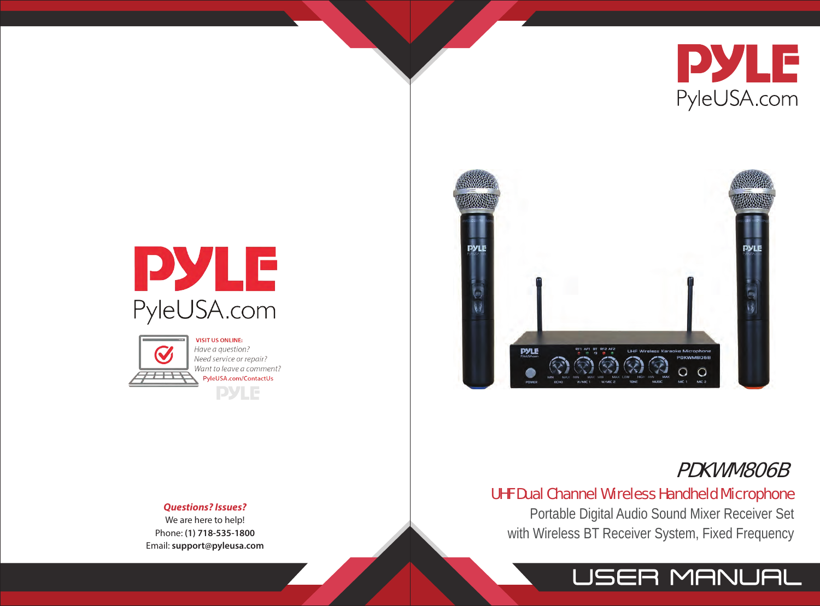





Have a question? Need service or repair? Want to leave a comment? PyleUSA.com/ContactUs **DYLE** 



# PDKWM806B

# UHF Dual Channel Wireless Handheld Microphone

Portable Digital Audio Sound Mixer Receiver Set with Wireless BT Receiver System, Fixed Frequency

# **JSER MANUAL**

#### *Questions? Issues?*

We are here to help! Phone: **(1) 718-535-1800** Email: **support@pyleusa.com**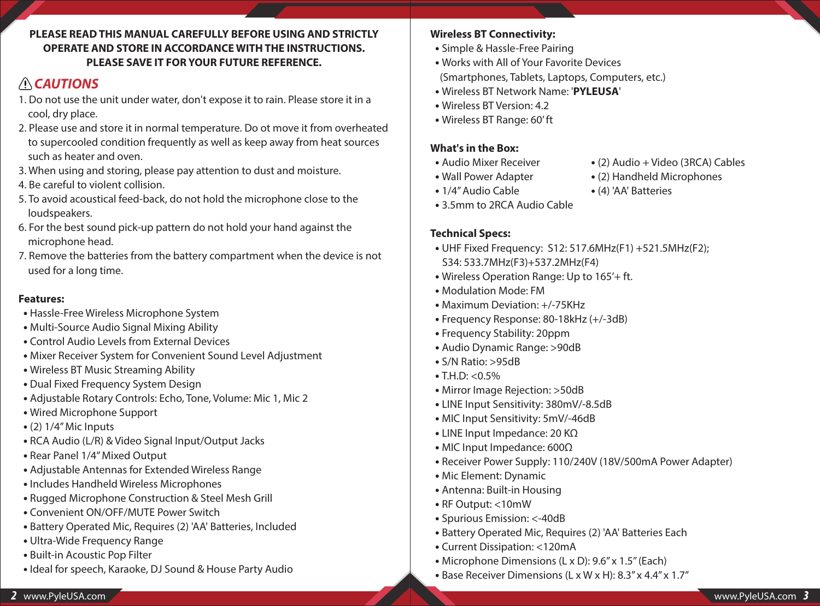#### **PLEASE READ THIS MANUAL CAREFULLY BEFORE USING AND STRICTLY OPERATE AND STORE IN ACCORDANCE WITH THE INSTRUCTIONS. PLEASE SAVE IT FOR YOUR FUTURE REFERENCE.**

# *CAUTIONS*

- 1. Do not use the unit under water, don't expose it to rain. Please store it in a cool, dry place.
- 2. Please use and store it in normal temperature. Do ot move it from overheated to supercooled condition frequently as well as keep away from heat sources such as heater and oven.
- 3. When using and storing, please pay attention to dust and moisture.
- 4. Be careful to violent collision.
- 5. To avoid acoustical feed-back, do not hold the microphone close to the loudspeakers.
- 6. For the best sound pick-up pattern do not hold your hand against the microphone head.
- 7. Remove the batteries from the battery compartment when the device is not used for a long time.

#### **Features:**

- Hassle-Free Wireless Microphone System
- Multi-Source Audio Signal Mixing Ability
- Control Audio Levels from External Devices
- Mixer Receiver System for Convenient Sound Level Adjustment
- Wireless BT Music Streaming Ability
- Dual Fixed Frequency System Design
- Adjustable Rotary Controls: Echo, Tone, Volume: Mic 1, Mic 2
- Wired Microphone Support
- (2) 1/4'' Mic Inputs
- RCA Audio (L/R) & Video Signal Input/Output Jacks
- Rear Panel 1/4'' Mixed Output
- Adjustable Antennas for Extended Wireless Range
- Includes Handheld Wireless Microphones
- Rugged Microphone Construction & Steel Mesh Grill
- Convenient ON/OFF/MUTE Power Switch
- Battery Operated Mic, Requires (2) 'AA' Batteries, Included
- Ultra-Wide Frequency Range
- Built-in Acoustic Pop Filter
- Ideal for speech, Karaoke, DJ Sound & House Party Audio

# **Wireless BT Connectivity:**

- Simple & Hassle-Free Pairing
- Works with All of Your Favorite Devices (Smartphones, Tablets, Laptops, Computers, etc.)
- Wireless BT Network Name: '**PYLEUSA**'
- Wireless BT Version: 4.2
- Wireless BT Range: 60' ft

# **What's in the Box:**

- Audio Mixer Receiver
- Wall Power Adapter
- 1/4'' Audio Cable
- 3.5mm to 2RCA Audio Cable
- **Technical Specs:**
- UHF Fixed Frequency: S12: 517.6MHz(F1) +521.5MHz(F2); S34: 533.7MHz(F3)+537.2MHz(F4)
- Wireless Operation Range: Up to 165'+ ft.
- Modulation Mode: FM
- Maximum Deviation: +/-75KHz
- Frequency Response: 80-18kHz (+/-3dB)
- Frequency Stability: 20ppm
- Audio Dynamic Range: >90dB
- S/N Ratio: >95dB
- T.H.D: <0.5%
- Mirror Image Rejection: >50dB
- LINE Input Sensitivity: 380mV/-8.5dB
- MIC Input Sensitivity: 5mV/-46dB
- LINE Input Impedance: 20 KΩ
- MIC Input Impedance: 600Ω
- Receiver Power Supply: 110/240V (18V/500mA Power Adapter)
- Mic Element: Dynamic
- Antenna: Built-in Housing
- RF Output: <10mW
- Spurious Emission: <-40dB
- Battery Operated Mic, Requires (2) 'AA' Batteries Each
- Current Dissipation: <120mA
- Microphone Dimensions (L x D): 9.6" x 1.5" (Each)
- Base Receiver Dimensions (L x W x H): 8.3'' x 4.4'' x 1.7''

 **•** (2) Handheld Microphones

 **•** (2) Audio + Video (3RCA) Cables

 **•** (4) 'AA' Batteries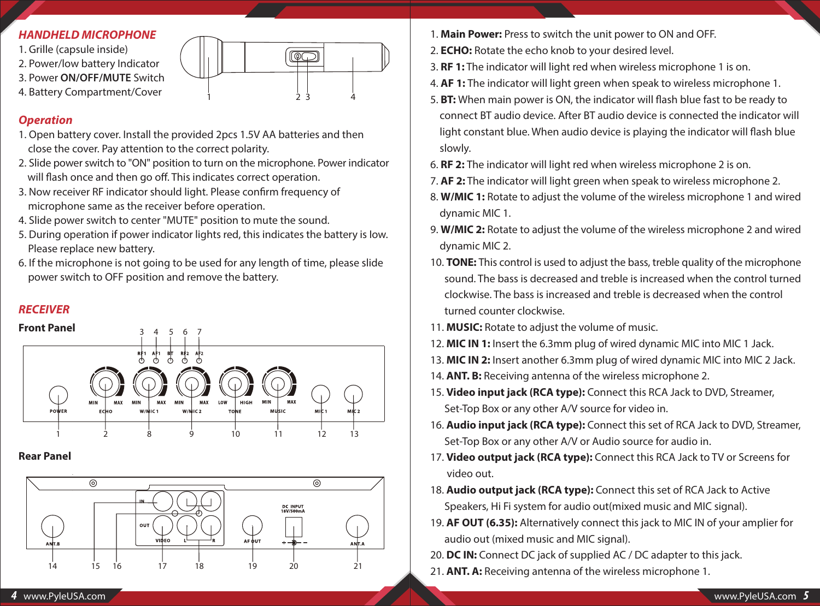#### *HANDHELD MICROPHONE*

- 1. Grille (capsule inside)
- 2. Power/low battery Indicator
- 3. Power **ON/OFF/MUTE** Switch
- 4. Battery Compartment/Cover

#### *Operation*

- 1. Open battery cover. Install the provided 2pcs 1.5V AA batteries and then close the cover. Pay attention to the correct polarity.
- 2. Slide power switch to "ON" position to turn on the microphone. Power indicator will flash once and then go off. This indicates correct operation.

1 2 3 4

<u>loc </u>

- 3. Now receiver RF indicator should light. Please confirm frequency of microphone same as the receiver before operation.
- 4. Slide power switch to center "MUTE" position to mute the sound.
- 5. During operation if power indicator lights red, this indicates the battery is Iow. Please replace new battery.
- 6. If the microphone is not going to be used for any length of time, please slide power switch to OFF position and remove the battery.

#### *RECEIVER*



## **Rear Panel**



- 1. **Main Power:** Press to switch the unit power to ON and OFF.
- 2. **ECHO:** Rotate the echo knob to your desired level.
- 3. **RF 1:** The indicator will light red when wireless microphone 1 is on.
- 4. **AF 1:** The indicator will light green when speak to wireless microphone 1.
- 5. **BT:** When main power is ON, the indicator will flash blue fast to be ready to connect BT audio device. After BT audio device is connected the indicator will light constant blue. When audio device is playing the indicator will flash blue slowly.
- 6. **RF 2:** The indicator will light red when wireless microphone 2 is on.
- 7. **AF 2:** The indicator will light green when speak to wireless microphone 2.
- 8. **W/MIC 1:** Rotate to adjust the volume of the wireless microphone 1 and wired dynamic MIC 1.
- 9. **W/MIC 2:** Rotate to adjust the volume of the wireless microphone 2 and wired dynamic MIC 2.
- 10. **TONE:** This control is used to adjust the bass, treble quality of the microphone sound. The bass is decreased and treble is increased when the control turned clockwise. The bass is increased and treble is decreased when the control turned counter clockwise.
- 11. **MUSIC:** Rotate to adjust the volume of music.
- 12. **MIC IN 1:** Insert the 6.3mm plug of wired dynamic MIC into MIC 1 Jack.
- 13. **MIC IN 2:** Insert another 6.3mm plug of wired dynamic MIC into MIC 2 Jack.
- 14. **ANT. B:** Receiving antenna of the wireless microphone 2.
- 15. **Video input jack (RCA type):** Connect this RCA Jack to DVD, Streamer, Set-Top Box or any other A/V source for video in.
- 16. **Audio input jack (RCA type):** Connect this set of RCA Jack to DVD, Streamer, Set-Top Box or any other A/V or Audio source for audio in.
- 17. **Video output jack (RCA type):** Connect this RCA Jack to TV or Screens for video out.
- 18. **Audio output jack (RCA type):** Connect this set of RCA Jack to Active Speakers, Hi Fi system for audio out(mixed music and MIC signal).
- 19. **AF OUT (6.35):** Alternatively connect this jack to MIC IN of your amplier for audio out (mixed music and MIC signal).
- 20. **DC IN:** Connect DC jack of supplied AC / DC adapter to this jack.
- 21. **ANT. A:** Receiving antenna of the wireless microphone 1.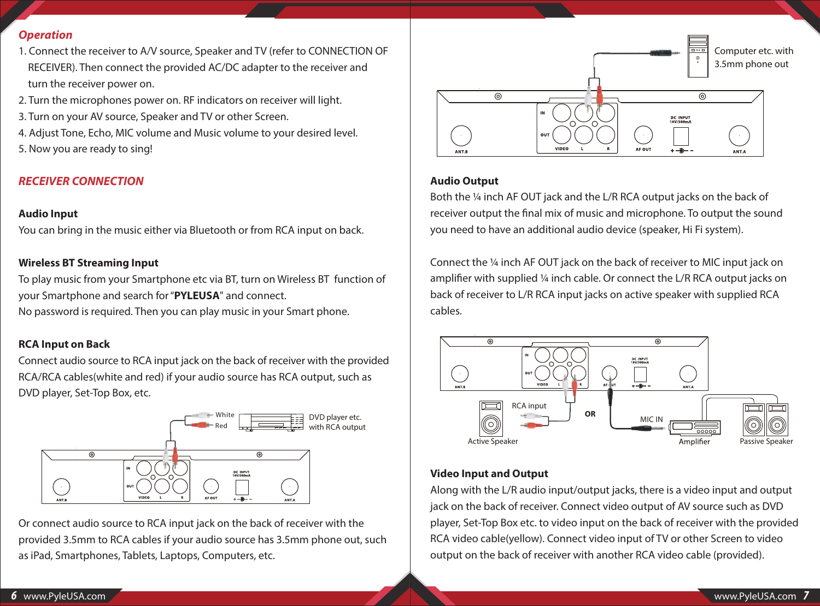#### *Operation*

- 1. Connect the receiver to A/V source, Speaker and TV (refer to CONNECTION OF RECEIVER). Then connect the provided AC/DC adapter to the receiver and turn the receiver power on.
- 2. Turn the microphones power on. RF indicators on receiver will light.
- 3. Turn on your AV source, Speaker and TV or other Screen.
- 4. Adjust Tone, Echo, MIC volume and Music volume to your desired level.
- 5. Now you are ready to sing!

## *RECEIVER CONNECTION*

#### **Audio Input**

You can bring in the music either via Bluetooth or from RCA input on back.

#### **Wireless BT Streaming Input**

To play music from your Smartphone etc via BT, turn on Wireless BT function of your Smartphone and search for "**PYLEUSA**" and connect.

No password is required. Then you can play music in your Smart phone.

#### **RCA Input on Back**

Connect audio source to RCA input jack on the back of receiver with the provided RCA/RCA cables(white and red) if your audio source has RCA output, such as DVD player, Set-Top Box, etc.



Or connect audio source to RCA input jack on the back of receiver with the provided 3.5mm to RCA cables if your audio source has 3.5mm phone out, such as iPad, Smartphones, Tablets, Laptops, Computers, etc.



#### **Audio Output**

Both the 1/4 inch AF OUT jack and the L/R RCA output jacks on the back of receiver output the final mix of music and microphone. To output the sound you need to have an additional audio device (speaker, Hi Fi system).

Connect the ¼ inch AF OUT jack on the back of receiver to MIC input jack on amplifier with supplied 1/4 inch cable. Or connect the L/R RCA output jacks on back of receiver to L/R RCA input jacks on active speaker with supplied RCA cables.



#### **Video Input and Output**

Along with the L/R audio input/output jacks, there is a video input and output jack on the back of receiver. Connect video output of AV source such as DVD player, Set-Top Box etc. to video input on the back of receiver with the provided RCA video cable(yellow). Connect video input of TV or other Screen to video output on the back of receiver with another RCA video cable (provided).